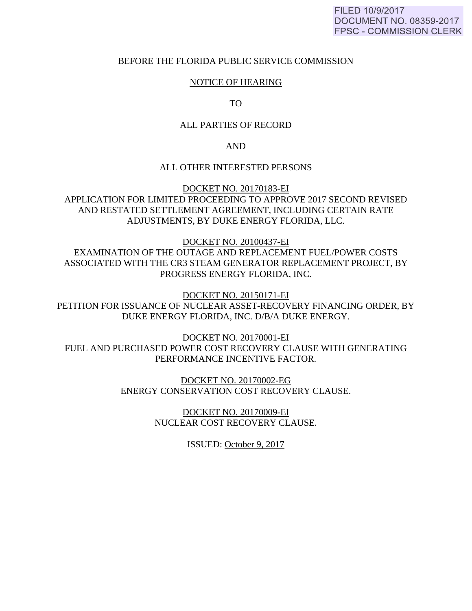### BEFORE THE FLORIDA PUBLIC SERVICE COMMISSION

# NOTICE OF HEARING

TO

### ALL PARTIES OF RECORD

AND

### ALL OTHER INTERESTED PERSONS

DOCKET NO. 20170183-EI APPLICATION FOR LIMITED PROCEEDING TO APPROVE 2017 SECOND REVISED AND RESTATED SETTLEMENT AGREEMENT, INCLUDING CERTAIN RATE ADJUSTMENTS, BY DUKE ENERGY FLORIDA, LLC.

DOCKET NO. 20100437-EI

EXAMINATION OF THE OUTAGE AND REPLACEMENT FUEL/POWER COSTS ASSOCIATED WITH THE CR3 STEAM GENERATOR REPLACEMENT PROJECT, BY PROGRESS ENERGY FLORIDA, INC.

DOCKET NO. 20150171-EI PETITION FOR ISSUANCE OF NUCLEAR ASSET-RECOVERY FINANCING ORDER, BY DUKE ENERGY FLORIDA, INC. D/B/A DUKE ENERGY.

DOCKET NO. 20170001-EI FUEL AND PURCHASED POWER COST RECOVERY CLAUSE WITH GENERATING PERFORMANCE INCENTIVE FACTOR.

> DOCKET NO. 20170002-EG ENERGY CONSERVATION COST RECOVERY CLAUSE.

> > DOCKET NO. 20170009-EI NUCLEAR COST RECOVERY CLAUSE.

> > > ISSUED: October 9, 2017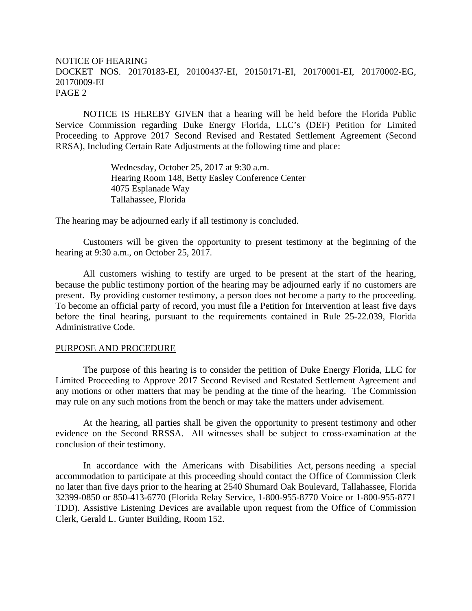# NOTICE OF HEARING DOCKET NOS. 20170183-EI, 20100437-EI, 20150171-EI, 20170001-EI, 20170002-EG, 20170009-EI PAGE 2

NOTICE IS HEREBY GIVEN that a hearing will be held before the Florida Public Service Commission regarding Duke Energy Florida, LLC's (DEF) Petition for Limited Proceeding to Approve 2017 Second Revised and Restated Settlement Agreement (Second RRSA), Including Certain Rate Adjustments at the following time and place:

> Wednesday, October 25, 2017 at 9:30 a.m. Hearing Room 148, Betty Easley Conference Center 4075 Esplanade Way Tallahassee, Florida

The hearing may be adjourned early if all testimony is concluded.

 Customers will be given the opportunity to present testimony at the beginning of the hearing at 9:30 a.m., on October 25, 2017.

 All customers wishing to testify are urged to be present at the start of the hearing, because the public testimony portion of the hearing may be adjourned early if no customers are present. By providing customer testimony, a person does not become a party to the proceeding. To become an official party of record, you must file a Petition for Intervention at least five days before the final hearing, pursuant to the requirements contained in Rule 25-22.039, Florida Administrative Code.

### PURPOSE AND PROCEDURE

 The purpose of this hearing is to consider the petition of Duke Energy Florida, LLC for Limited Proceeding to Approve 2017 Second Revised and Restated Settlement Agreement and any motions or other matters that may be pending at the time of the hearing. The Commission may rule on any such motions from the bench or may take the matters under advisement.

 At the hearing, all parties shall be given the opportunity to present testimony and other evidence on the Second RRSSA. All witnesses shall be subject to cross-examination at the conclusion of their testimony.

 In accordance with the Americans with Disabilities Act, persons needing a special accommodation to participate at this proceeding should contact the Office of Commission Clerk no later than five days prior to the hearing at 2540 Shumard Oak Boulevard, Tallahassee, Florida 32399-0850 or 850-413-6770 (Florida Relay Service, 1-800-955-8770 Voice or 1-800-955-8771 TDD). Assistive Listening Devices are available upon request from the Office of Commission Clerk, Gerald L. Gunter Building, Room 152.